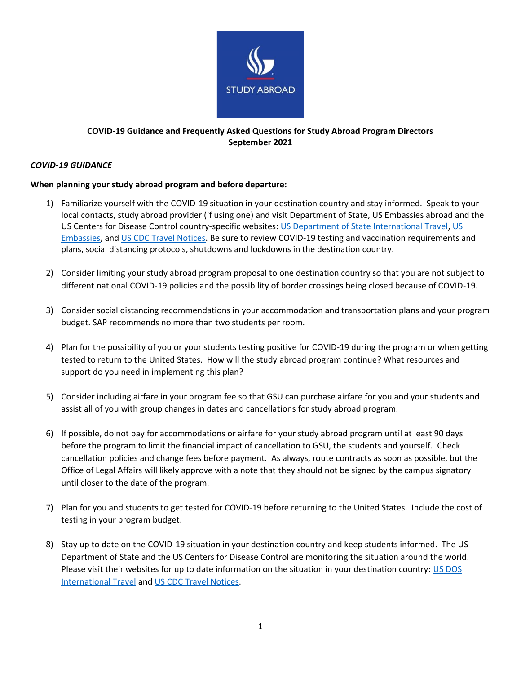

# **COVID-19 Guidance and Frequently Asked Questions for Study Abroad Program Directors September 2021**

## *COVID-19 GUIDANCE*

## **When planning your study abroad program and before departure:**

- 1) Familiarize yourself with the COVID-19 situation in your destination country and stay informed. Speak to your local contacts, study abroad provider (if using one) and visit Department of State, US Embassies abroad and the US Centers for Disease Control country-specific websites: [US Department of State International Travel,](https://travel.state.gov/content/travel/en/international-travel.html) [US](https://www.usembassy.gov/)  [Embassies,](https://www.usembassy.gov/) an[d US CDC Travel Notices.](https://wwwnc.cdc.gov/travel/notices/) Be sure to review COVID-19 testing and vaccination requirements and plans, social distancing protocols, shutdowns and lockdowns in the destination country.
- 2) Consider limiting your study abroad program proposal to one destination country so that you are not subject to different national COVID-19 policies and the possibility of border crossings being closed because of COVID-19.
- 3) Consider social distancing recommendations in your accommodation and transportation plans and your program budget. SAP recommends no more than two students per room.
- 4) Plan for the possibility of you or your students testing positive for COVID-19 during the program or when getting tested to return to the United States. How will the study abroad program continue? What resources and support do you need in implementing this plan?
- 5) Consider including airfare in your program fee so that GSU can purchase airfare for you and your students and assist all of you with group changes in dates and cancellations for study abroad program.
- 6) If possible, do not pay for accommodations or airfare for your study abroad program until at least 90 days before the program to limit the financial impact of cancellation to GSU, the students and yourself. Check cancellation policies and change fees before payment. As always, route contracts as soon as possible, but the Office of Legal Affairs will likely approve with a note that they should not be signed by the campus signatory until closer to the date of the program.
- 7) Plan for you and students to get tested for COVID-19 before returning to the United States. Include the cost of testing in your program budget.
- 8) Stay up to date on the COVID-19 situation in your destination country and keep students informed. The US Department of State and the US Centers for Disease Control are monitoring the situation around the world. Please visit their websites for up to date information on the situation in your destination country: US DOS [International Travel](https://travel.state.gov/content/travel/en/international-travel.html) and [US CDC Travel Notices.](https://wwwnc.cdc.gov/travel/notices/)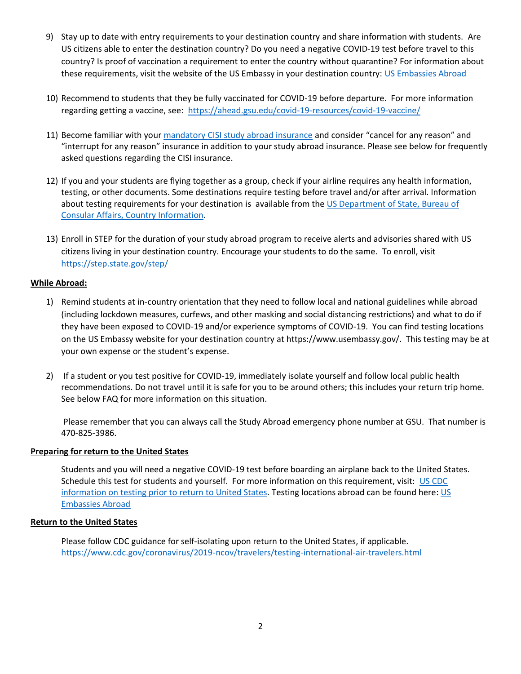- 9) Stay up to date with entry requirements to your destination country and share information with students. Are US citizens able to enter the destination country? Do you need a negative COVID-19 test before travel to this country? Is proof of vaccination a requirement to enter the country without quarantine? For information about these requirements, visit the website of the US Embassy in your destination country: [US Embassies Abroad](https://www.usembassy.gov/)
- 10) Recommend to students that they be fully vaccinated for COVID-19 before departure. For more information regarding getting a vaccine, see: <https://ahead.gsu.edu/covid-19-resources/covid-19-vaccine/>
- 11) Become familiar with your mandatory [CISI study abroad insurance](https://www.culturalinsurance.com/usg/pdf/USGA_BOR_BrInfo&CF_GLM-N10892880_2019-20.pdf) and consider "cancel for any reason" and "interrupt for any reason" insurance in addition to your study abroad insurance. Please see below for frequently asked questions regarding the CISI insurance.
- 12) If you and your students are flying together as a group, check if your airline requires any health information, testing, or other documents. Some destinations require testing before travel and/or after arrival. Information about testing requirements for your destination is available from the [US Department of State, Bureau of](https://travel.state.gov/content/travel/en/traveladvisories/COVID-19-Country-Specific-Information.html)  [Consular Affairs, Country Information.](https://travel.state.gov/content/travel/en/traveladvisories/COVID-19-Country-Specific-Information.html)
- 13) Enroll in STEP for the duration of your study abroad program to receive alerts and advisories shared with US citizens living in your destination country. Encourage your students to do the same. To enroll, visit <https://step.state.gov/step/>

## **While Abroad:**

- 1) Remind students at in-country orientation that they need to follow local and national guidelines while abroad (including lockdown measures, curfews, and other masking and social distancing restrictions) and what to do if they have been exposed to COVID-19 and/or experience symptoms of COVID-19. You can find testing locations on the US Embassy website for your destination country at https://www.usembassy.gov/. This testing may be at your own expense or the student's expense.
- 2) If a student or you test positive for COVID-19, immediately isolate yourself and follow local public health recommendations. Do not travel until it is safe for you to be around others; this includes your return trip home. See below FAQ for more information on this situation.

Please remember that you can always call the Study Abroad emergency phone number at GSU. That number is 470-825-3986.

## **Preparing for return to the United States**

Students and you will need a negative COVID-19 test before boarding an airplane back to the United States. Schedule this test for students and yourself. For more information on this requirement, visit: [US CDC](https://www.cdc.gov/coronavirus/2019-ncov/travelers/testing-international-air-travelers.html)  information on [testing prior to return to United States.](https://www.cdc.gov/coronavirus/2019-ncov/travelers/testing-international-air-travelers.html) Testing locations abroad can be found here: [US](https://www.usembassy.gov/)  [Embassies Abroad](https://www.usembassy.gov/)

## **Return to the United States**

Please follow CDC guidance for self-isolating upon return to the United States, if applicable. <https://www.cdc.gov/coronavirus/2019-ncov/travelers/testing-international-air-travelers.html>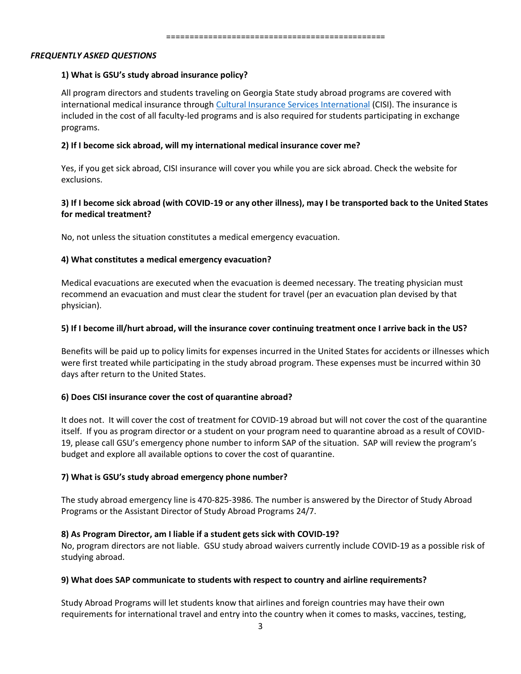#### *FREQUENTLY ASKED QUESTIONS*

#### **1) What is GSU's study abroad insurance policy?**

All program directors and students traveling on Georgia State study abroad programs are covered with international medical insurance through [Cultural Insurance Services International](https://nam03.safelinks.protection.outlook.com/?url=https%3A%2F%2Fwww.culturalinsurance.com%2F&data=02%7C01%7Cfarrahb%40gsu.edu%7C229c3c02a988485fc7ac08d7ab18ca6a%7C515ad73d8d5e4169895c9789dc742a70%7C0%7C0%7C637165995271152933&sdata=sw1uv9qTe8JX3Pvrje8yY7fRZW9uqB4P%2BdhmXA2Wjlk%3D&reserved=0) (CISI). The insurance is included in the cost of all faculty-led programs and is also required for students participating in exchange programs.

### **2) If I become sick abroad, will my international medical insurance cover me?**

Yes, if you get sick abroad, CISI insurance will cover you while you are sick abroad. Check the website for exclusions.

## **3) If I become sick abroad (with COVID-19 or any other illness), may I be transported back to the United States for medical treatment?**

No, not unless the situation constitutes a medical emergency evacuation.

### **4) What constitutes a medical emergency evacuation?**

Medical evacuations are executed when the evacuation is deemed necessary. The treating physician must recommend an evacuation and must clear the student for travel (per an evacuation plan devised by that physician).

### **5) If I become ill/hurt abroad, will the insurance cover continuing treatment once I arrive back in the US?**

Benefits will be paid up to policy limits for expenses incurred in the United States for accidents or illnesses which were first treated while participating in the study abroad program. These expenses must be incurred within 30 days after return to the United States.

#### **6) Does CISI insurance cover the cost of quarantine abroad?**

It does not. It will cover the cost of treatment for COVID-19 abroad but will not cover the cost of the quarantine itself. If you as program director or a student on your program need to quarantine abroad as a result of COVID-19, please call GSU's emergency phone number to inform SAP of the situation. SAP will review the program's budget and explore all available options to cover the cost of quarantine.

## **7) What is GSU's study abroad emergency phone number?**

The study abroad emergency line is 470-825-3986. The number is answered by the Director of Study Abroad Programs or the Assistant Director of Study Abroad Programs 24/7.

#### **8) As Program Director, am I liable if a student gets sick with COVID-19?**

No, program directors are not liable. GSU study abroad waivers currently include COVID-19 as a possible risk of studying abroad.

#### **9) What does SAP communicate to students with respect to country and airline requirements?**

Study Abroad Programs will let students know that airlines and foreign countries may have their own requirements for international travel and entry into the country when it comes to masks, vaccines, testing,